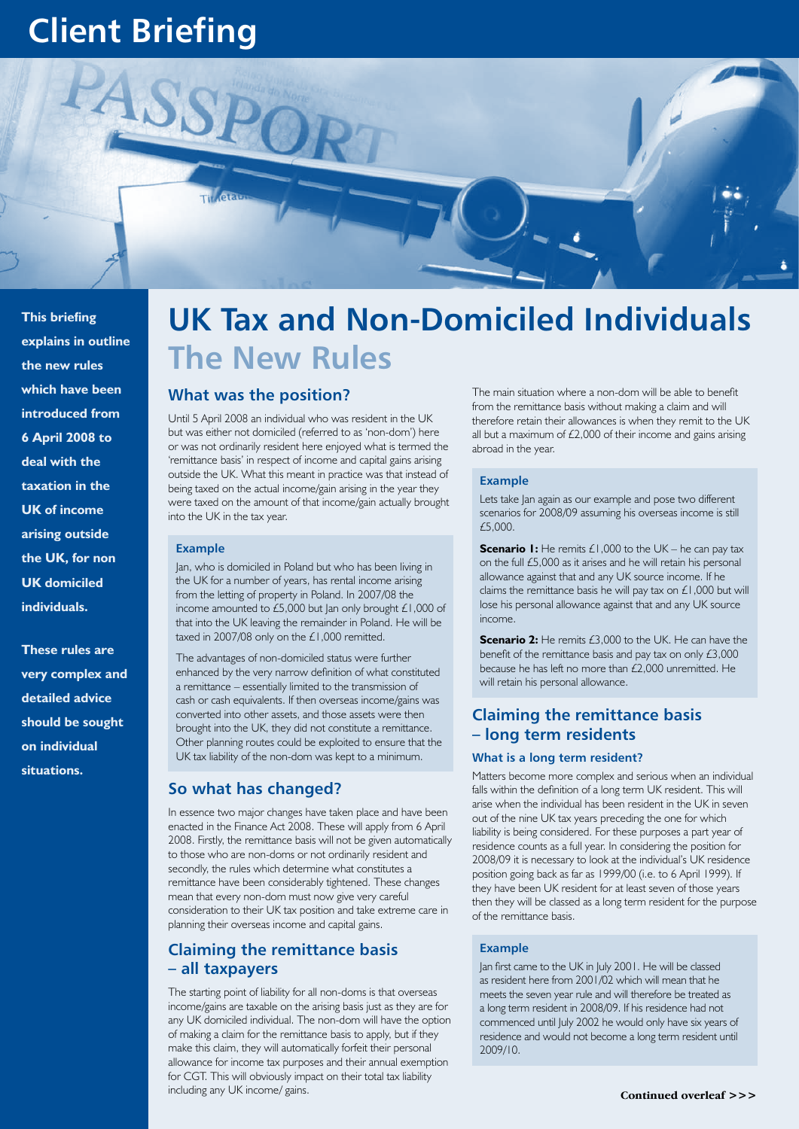# **Client Briefing**

**This briefing explains in outline the new rules which have been introduced from 6 April 2008 to deal with the taxation in the UK of income arising outside the UK, for non UK domiciled individuals.** 

**These rules are very complex and detailed advice should be sought on individual situations.**

# **UK Tax and Non-Domiciled Individuals The New Rules**

# **What was the position?**

Until 5 April 2008 an individual who was resident in the UK but was either not domiciled (referred to as 'non-dom') here or was not ordinarily resident here enjoyed what is termed the 'remittance basis' in respect of income and capital gains arising outside the UK. What this meant in practice was that instead of being taxed on the actual income/gain arising in the year they were taxed on the amount of that income/gain actually brought into the UK in the tax year.

## **Example**

Jan, who is domiciled in Poland but who has been living in the UK for a number of years, has rental income arising from the letting of property in Poland. In 2007/08 the income amounted to £5,000 but Jan only brought £1,000 of that into the UK leaving the remainder in Poland. He will be taxed in 2007/08 only on the £1,000 remitted.

The advantages of non-domiciled status were further enhanced by the very narrow definition of what constituted a remittance – essentially limited to the transmission of cash or cash equivalents. If then overseas income/gains was converted into other assets, and those assets were then brought into the UK, they did not constitute a remittance. Other planning routes could be exploited to ensure that the UK tax liability of the non-dom was kept to a minimum.

# **So what has changed?**

In essence two major changes have taken place and have been enacted in the Finance Act 2008. These will apply from 6 April 2008. Firstly, the remittance basis will not be given automatically to those who are non-doms or not ordinarily resident and secondly, the rules which determine what constitutes a remittance have been considerably tightened. These changes mean that every non-dom must now give very careful consideration to their UK tax position and take extreme care in planning their overseas income and capital gains.

# **Claiming the remittance basis – all taxpayers**

The starting point of liability for all non-doms is that overseas income/gains are taxable on the arising basis just as they are for any UK domiciled individual. The non-dom will have the option of making a claim for the remittance basis to apply, but if they make this claim, they will automatically forfeit their personal allowance for income tax purposes and their annual exemption for CGT. This will obviously impact on their total tax liability including any UK income/ gains.

The main situation where a non-dom will be able to benefit from the remittance basis without making a claim and will therefore retain their allowances is when they remit to the UK all but a maximum of £2,000 of their income and gains arising abroad in the year.

## **Example**

Lets take Jan again as our example and pose two different scenarios for 2008/09 assuming his overseas income is still £5,000.

**Scenario 1:** He remits £1,000 to the UK – he can pay tax on the full £5,000 as it arises and he will retain his personal allowance against that and any UK source income. If he claims the remittance basis he will pay tax on £1,000 but will lose his personal allowance against that and any UK source income.

**Scenario 2:** He remits £3,000 to the UK. He can have the benefit of the remittance basis and pay tax on only £3,000 because he has left no more than £2,000 unremitted. He will retain his personal allowance.

# **Claiming the remittance basis – long term residents**

# **What is a long term resident?**

Matters become more complex and serious when an individual falls within the definition of a long term UK resident. This will arise when the individual has been resident in the UK in seven out of the nine UK tax years preceding the one for which liability is being considered. For these purposes a part year of residence counts as a full year. In considering the position for 2008/09 it is necessary to look at the individual's UK residence position going back as far as 1999/00 (i.e. to 6 April 1999). If they have been UK resident for at least seven of those years then they will be classed as a long term resident for the purpose of the remittance basis.

# **Example**

Jan first came to the UK in July 2001. He will be classed as resident here from 2001/02 which will mean that he meets the seven year rule and will therefore be treated as a long term resident in 2008/09. If his residence had not commenced until July 2002 he would only have six years of residence and would not become a long term resident until 2009/10.